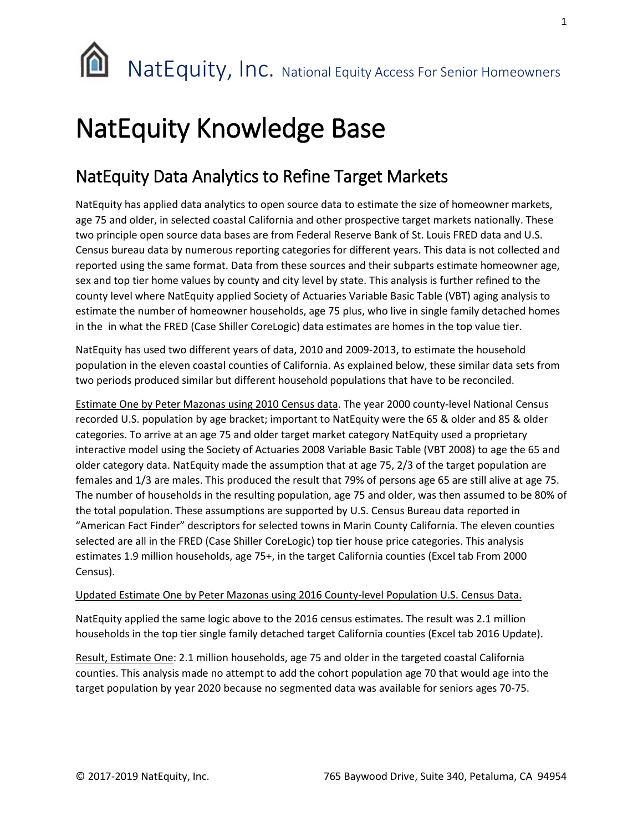

# NatEquity Knowledge Base

## NatEquity Data Analytics to Refine Target Markets

NatEquity has applied data analytics to open source data to estimate the size of homeowner markets, age 75 and older, in selected coastal California and other prospective target markets nationally. These two principle open source data bases are from Federal Reserve Bank of St. Louis FRED data and U.S. Census bureau data by numerous reporting categories for different years. This data is not collected and reported using the same format. Data from these sources and their subparts estimate homeowner age, sex and top tier home values by county and city level by state. This analysis is further refined to the county level where NatEquity applied Society of Actuaries Variable Basic Table (VBT) aging analysis to estimate the number of homeowner households, age 75 plus, who live in single family detached homes in the in what the FRED (Case Shiller CoreLogic) data estimates are homes in the top value tier.

NatEquity has used two different years of data, 2010 and 2009-2013, to estimate the household population in the eleven coastal counties of California. As explained below, these similar data sets from two periods produced similar but different household populations that have to be reconciled.

Estimate One by Peter Mazonas using 2010 Census data. The year 2000 county-level National Census recorded U.S. population by age bracket; important to NatEquity were the 65 & older and 85 & older categories. To arrive at an age 75 and older target market category NatEquity used a proprietary interactive model using the Society of Actuaries 2008 Variable Basic Table (VBT 2008) to age the 65 and older category data. NatEquity made the assumption that at age 75, 2/3 of the target population are females and 1/3 are males. This produced the result that 79% of persons age 65 are still alive at age 75. The number of households in the resulting population, age 75 and older, was then assumed to be 80% of the total population. These assumptions are supported by U.S. Census Bureau data reported in "American Fact Finder" descriptors for selected towns in Marin County California. The eleven counties selected are all in the FRED (Case Shiller CoreLogic) top tier house price categories. This analysis estimates 1.9 million households, age 75+, in the target California counties (Excel tab From 2000 Census).

### Updated Estimate One by Peter Mazonas using 2016 County-level Population U.S. Census Data.

NatEquity applied the same logic above to the 2016 census estimates. The result was 2.1 million households in the top tier single family detached target California counties (Excel tab 2016 Update).

Result, Estimate One: 2.1 million households, age 75 and older in the targeted coastal California counties. This analysis made no attempt to add the cohort population age 70 that would age into the target population by year 2020 because no segmented data was available for seniors ages 70-75.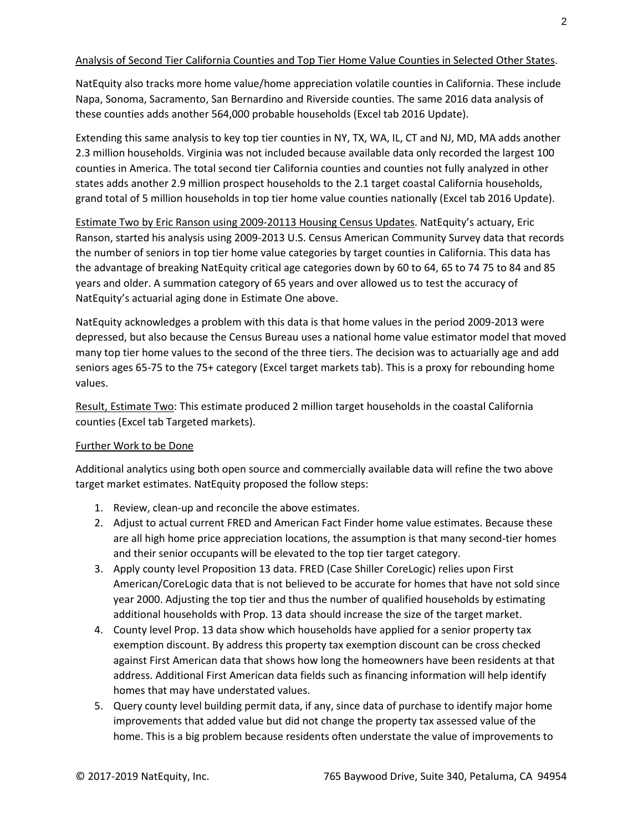### Analysis of Second Tier California Counties and Top Tier Home Value Counties in Selected Other States.

NatEquity also tracks more home value/home appreciation volatile counties in California. These include Napa, Sonoma, Sacramento, San Bernardino and Riverside counties. The same 2016 data analysis of these counties adds another 564,000 probable households (Excel tab 2016 Update).

Extending this same analysis to key top tier counties in NY, TX, WA, IL, CT and NJ, MD, MA adds another 2.3 million households. Virginia was not included because available data only recorded the largest 100 counties in America. The total second tier California counties and counties not fully analyzed in other states adds another 2.9 million prospect households to the 2.1 target coastal California households, grand total of 5 million households in top tier home value counties nationally (Excel tab 2016 Update).

Estimate Two by Eric Ranson using 2009-20113 Housing Census Updates. NatEquity's actuary, Eric Ranson, started his analysis using 2009-2013 U.S. Census American Community Survey data that records the number of seniors in top tier home value categories by target counties in California. This data has the advantage of breaking NatEquity critical age categories down by 60 to 64, 65 to 74 75 to 84 and 85 years and older. A summation category of 65 years and over allowed us to test the accuracy of NatEquity's actuarial aging done in Estimate One above.

NatEquity acknowledges a problem with this data is that home values in the period 2009-2013 were depressed, but also because the Census Bureau uses a national home value estimator model that moved many top tier home values to the second of the three tiers. The decision was to actuarially age and add seniors ages 65-75 to the 75+ category (Excel target markets tab). This is a proxy for rebounding home values.

Result, Estimate Two: This estimate produced 2 million target households in the coastal California counties (Excel tab Targeted markets).

### Further Work to be Done

Additional analytics using both open source and commercially available data will refine the two above target market estimates. NatEquity proposed the follow steps:

- 1. Review, clean-up and reconcile the above estimates.
- 2. Adjust to actual current FRED and American Fact Finder home value estimates. Because these are all high home price appreciation locations, the assumption is that many second-tier homes and their senior occupants will be elevated to the top tier target category.
- 3. Apply county level Proposition 13 data. FRED (Case Shiller CoreLogic) relies upon First American/CoreLogic data that is not believed to be accurate for homes that have not sold since year 2000. Adjusting the top tier and thus the number of qualified households by estimating additional households with Prop. 13 data should increase the size of the target market.
- 4. County level Prop. 13 data show which households have applied for a senior property tax exemption discount. By address this property tax exemption discount can be cross checked against First American data that shows how long the homeowners have been residents at that address. Additional First American data fields such as financing information will help identify homes that may have understated values.
- 5. Query county level building permit data, if any, since data of purchase to identify major home improvements that added value but did not change the property tax assessed value of the home. This is a big problem because residents often understate the value of improvements to